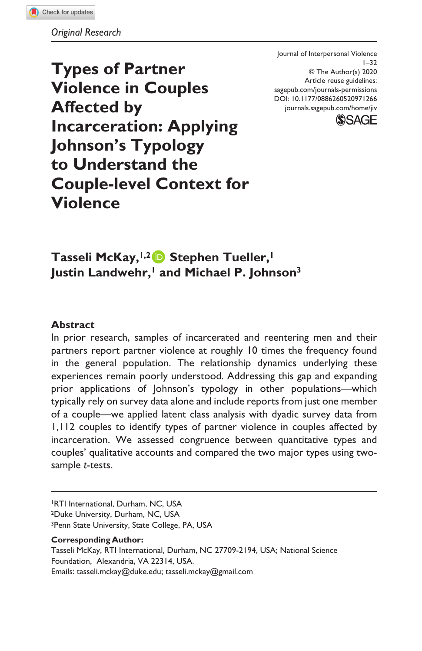DOI: 10.1177/0886260520971266 Journal of Interpersonal Violence  $1 - 32$ © The Author(s) 2020 Article reuse guidelines: sagepub.com/journals-permissions [journals.sagepub.com/home/jiv](https://journals.sagepub.com/home/jiv)



**Types of Partner Violence in Couples Affected by Incarceration: Applying Johnson's Typology to Understand the Couple-level Context for Violence**

Tasseli McKay,<sup>1,2</sup> **B** Stephen Tueller,<sup>1</sup> Justin Landwehr,<sup>1</sup> and Michael P. Johnson<sup>3</sup>

#### **Abstract**

In prior research, samples of incarcerated and reentering men and their partners report partner violence at roughly 10 times the frequency found in the general population. The relationship dynamics underlying these experiences remain poorly understood. Addressing this gap and expanding prior applications of Johnson's typology in other populations—which typically rely on survey data alone and include reports from just one member of a couple—we applied latent class analysis with dyadic survey data from 1,112 couples to identify types of partner violence in couples affected by incarceration. We assessed congruence between quantitative types and couples' qualitative accounts and compared the two major types using twosample *t*-tests.

#### **Corresponding Author:**

Tasseli McKay, RTI International, Durham, NC 27709-2194, USA; National Science Foundation, Alexandria, VA 22314, USA. Emails: tasseli.mckay@duke.edu; tasseli.mckay@gmail.com

<sup>1</sup>RTI International, Durham, NC, USA 2Duke University, Durham, NC, USA 3Penn State University, State College, PA, USA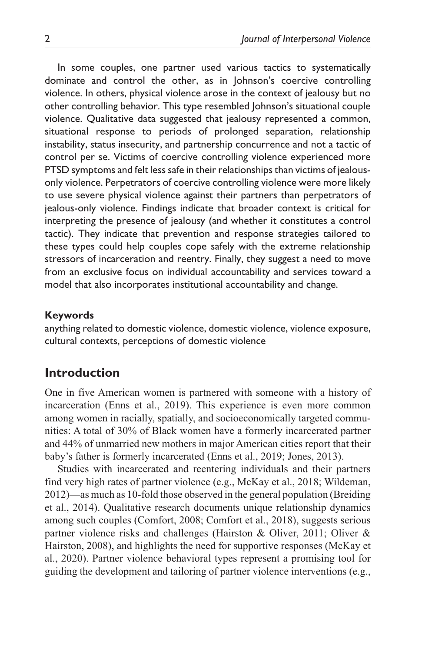In some couples, one partner used various tactics to systematically dominate and control the other, as in Johnson's coercive controlling violence. In others, physical violence arose in the context of jealousy but no other controlling behavior. This type resembled Johnson's situational couple violence. Qualitative data suggested that jealousy represented a common, situational response to periods of prolonged separation, relationship instability, status insecurity, and partnership concurrence and not a tactic of control per se. Victims of coercive controlling violence experienced more PTSD symptoms and felt less safe in their relationships than victims of jealousonly violence. Perpetrators of coercive controlling violence were more likely to use severe physical violence against their partners than perpetrators of jealous-only violence. Findings indicate that broader context is critical for interpreting the presence of jealousy (and whether it constitutes a control tactic). They indicate that prevention and response strategies tailored to these types could help couples cope safely with the extreme relationship stressors of incarceration and reentry. Finally, they suggest a need to move from an exclusive focus on individual accountability and services toward a model that also incorporates institutional accountability and change.

#### **Keywords**

anything related to domestic violence, domestic violence, violence exposure, cultural contexts, perceptions of domestic violence

### **Introduction**

One in five American women is partnered with someone with a history of incarceration (Enns et al., 2019). This experience is even more common among women in racially, spatially, and socioeconomically targeted communities: A total of 30% of Black women have a formerly incarcerated partner and 44% of unmarried new mothers in major American cities report that their baby's father is formerly incarcerated (Enns et al., 2019; Jones, 2013).

Studies with incarcerated and reentering individuals and their partners find very high rates of partner violence (e.g., McKay et al., 2018; Wildeman, 2012)—as much as 10-fold those observed in the general population (Breiding et al., 2014). Qualitative research documents unique relationship dynamics among such couples (Comfort, 2008; Comfort et al., 2018), suggests serious partner violence risks and challenges (Hairston & Oliver, 2011; Oliver & Hairston, 2008), and highlights the need for supportive responses (McKay et al., 2020). Partner violence behavioral types represent a promising tool for guiding the development and tailoring of partner violence interventions (e.g.,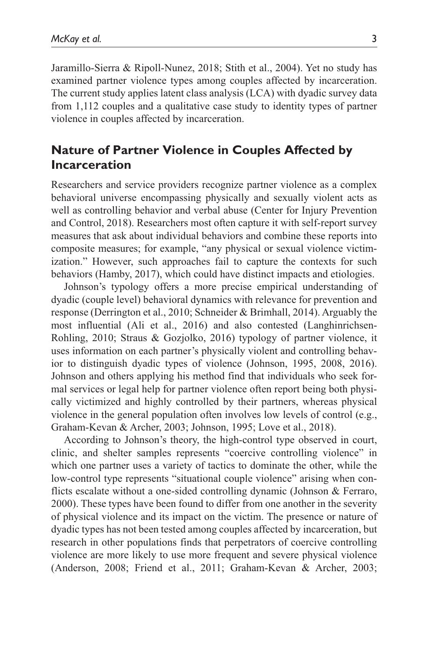Jaramillo-Sierra & Ripoll-Nunez, 2018; Stith et al., 2004). Yet no study has examined partner violence types among couples affected by incarceration. The current study applies latent class analysis (LCA) with dyadic survey data from 1,112 couples and a qualitative case study to identity types of partner violence in couples affected by incarceration.

## **Nature of Partner Violence in Couples Affected by Incarceration**

Researchers and service providers recognize partner violence as a complex behavioral universe encompassing physically and sexually violent acts as well as controlling behavior and verbal abuse (Center for Injury Prevention and Control, 2018). Researchers most often capture it with self-report survey measures that ask about individual behaviors and combine these reports into composite measures; for example, "any physical or sexual violence victimization." However, such approaches fail to capture the contexts for such behaviors (Hamby, 2017), which could have distinct impacts and etiologies.

Johnson's typology offers a more precise empirical understanding of dyadic (couple level) behavioral dynamics with relevance for prevention and response (Derrington et al., 2010; Schneider & Brimhall, 2014). Arguably the most influential (Ali et al., 2016) and also contested (Langhinrichsen-Rohling, 2010; Straus & Gozjolko, 2016) typology of partner violence, it uses information on each partner's physically violent and controlling behavior to distinguish dyadic types of violence (Johnson, 1995, 2008, 2016). Johnson and others applying his method find that individuals who seek formal services or legal help for partner violence often report being both physically victimized and highly controlled by their partners, whereas physical violence in the general population often involves low levels of control (e.g., Graham-Kevan & Archer, 2003; Johnson, 1995; Love et al., 2018).

According to Johnson's theory, the high-control type observed in court, clinic, and shelter samples represents "coercive controlling violence" in which one partner uses a variety of tactics to dominate the other, while the low-control type represents "situational couple violence" arising when conflicts escalate without a one-sided controlling dynamic (Johnson & Ferraro, 2000). These types have been found to differ from one another in the severity of physical violence and its impact on the victim. The presence or nature of dyadic types has not been tested among couples affected by incarceration, but research in other populations finds that perpetrators of coercive controlling violence are more likely to use more frequent and severe physical violence (Anderson, 2008; Friend et al., 2011; Graham-Kevan & Archer, 2003;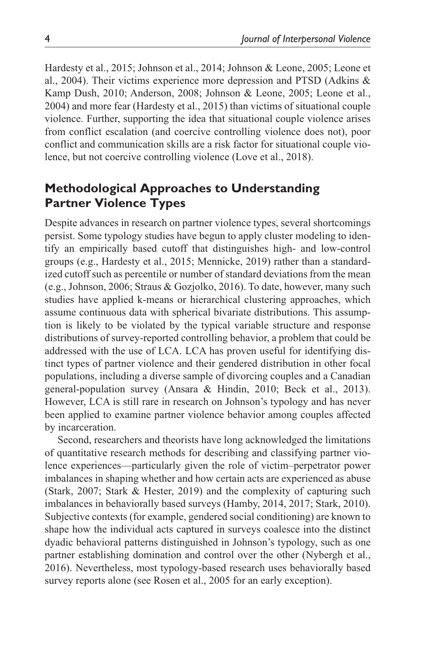Hardesty et al., 2015; Johnson et al., 2014; Johnson & Leone, 2005; Leone et al., 2004). Their victims experience more depression and PTSD (Adkins & Kamp Dush, 2010; Anderson, 2008; Johnson & Leone, 2005; Leone et al., 2004) and more fear (Hardesty et al., 2015) than victims of situational couple violence. Further, supporting the idea that situational couple violence arises from conflict escalation (and coercive controlling violence does not), poor conflict and communication skills are a risk factor for situational couple violence, but not coercive controlling violence (Love et al., 2018).

## **Methodological Approaches to Understanding Partner Violence Types**

Despite advances in research on partner violence types, several shortcomings persist. Some typology studies have begun to apply cluster modeling to identify an empirically based cutoff that distinguishes high- and low-control groups (e.g., Hardesty et al., 2015; Mennicke, 2019) rather than a standardized cutoff such as percentile or number of standard deviations from the mean (e.g., Johnson, 2006; Straus & Gozjolko, 2016). To date, however, many such studies have applied k-means or hierarchical clustering approaches, which assume continuous data with spherical bivariate distributions. This assumption is likely to be violated by the typical variable structure and response distributions of survey-reported controlling behavior, a problem that could be addressed with the use of LCA. LCA has proven useful for identifying distinct types of partner violence and their gendered distribution in other focal populations, including a diverse sample of divorcing couples and a Canadian general-population survey (Ansara & Hindin, 2010; Beck et al., 2013). However, LCA is still rare in research on Johnson's typology and has never been applied to examine partner violence behavior among couples affected by incarceration.

Second, researchers and theorists have long acknowledged the limitations of quantitative research methods for describing and classifying partner violence experiences—particularly given the role of victim–perpetrator power imbalances in shaping whether and how certain acts are experienced as abuse (Stark, 2007; Stark & Hester, 2019) and the complexity of capturing such imbalances in behaviorally based surveys (Hamby, 2014, 2017; Stark, 2010). Subjective contexts (for example, gendered social conditioning) are known to shape how the individual acts captured in surveys coalesce into the distinct dyadic behavioral patterns distinguished in Johnson's typology, such as one partner establishing domination and control over the other (Nybergh et al., 2016). Nevertheless, most typology-based research uses behaviorally based survey reports alone (see Rosen et al., 2005 for an early exception).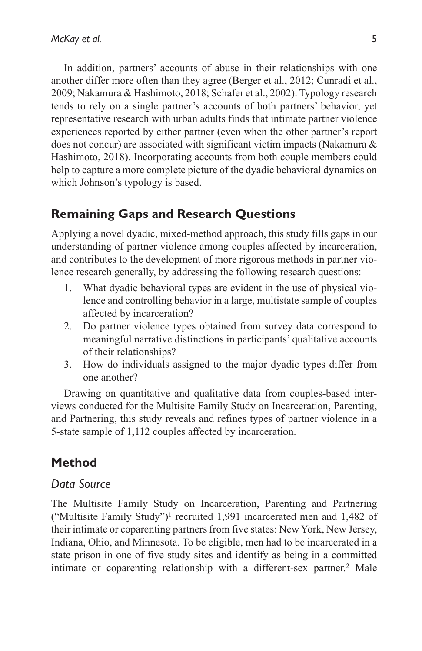In addition, partners' accounts of abuse in their relationships with one another differ more often than they agree (Berger et al., 2012; Cunradi et al., 2009; Nakamura & Hashimoto, 2018; Schafer et al., 2002). Typology research tends to rely on a single partner's accounts of both partners' behavior, yet representative research with urban adults finds that intimate partner violence experiences reported by either partner (even when the other partner's report does not concur) are associated with significant victim impacts (Nakamura & Hashimoto, 2018). Incorporating accounts from both couple members could help to capture a more complete picture of the dyadic behavioral dynamics on which Johnson's typology is based.

## **Remaining Gaps and Research Questions**

Applying a novel dyadic, mixed-method approach, this study fills gaps in our understanding of partner violence among couples affected by incarceration, and contributes to the development of more rigorous methods in partner violence research generally, by addressing the following research questions:

- 1. What dyadic behavioral types are evident in the use of physical violence and controlling behavior in a large, multistate sample of couples affected by incarceration?
- 2. Do partner violence types obtained from survey data correspond to meaningful narrative distinctions in participants' qualitative accounts of their relationships?
- 3. How do individuals assigned to the major dyadic types differ from one another?

Drawing on quantitative and qualitative data from couples-based interviews conducted for the Multisite Family Study on Incarceration, Parenting, and Partnering, this study reveals and refines types of partner violence in a 5-state sample of 1,112 couples affected by incarceration.

## **Method**

#### *Data Source*

The Multisite Family Study on Incarceration, Parenting and Partnering ("Multisite Family Study")<sup>1</sup> recruited 1,991 incarcerated men and 1,482 of their intimate or coparenting partners from five states: New York, New Jersey, Indiana, Ohio, and Minnesota. To be eligible, men had to be incarcerated in a state prison in one of five study sites and identify as being in a committed intimate or coparenting relationship with a different-sex partner.<sup>2</sup> Male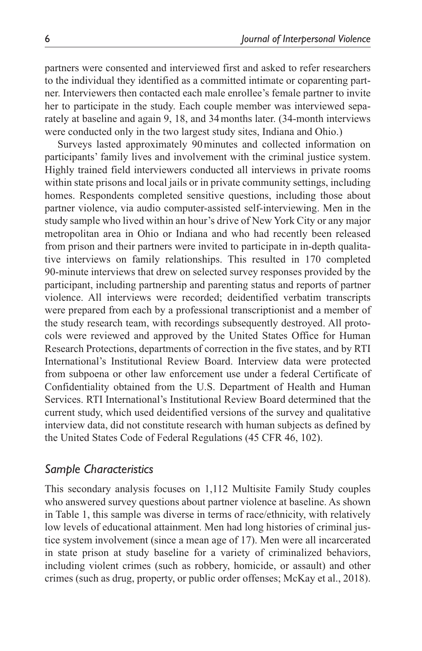partners were consented and interviewed first and asked to refer researchers to the individual they identified as a committed intimate or coparenting partner. Interviewers then contacted each male enrollee's female partner to invite her to participate in the study. Each couple member was interviewed separately at baseline and again 9, 18, and 34months later. (34-month interviews were conducted only in the two largest study sites, Indiana and Ohio.)

Surveys lasted approximately 90minutes and collected information on participants' family lives and involvement with the criminal justice system. Highly trained field interviewers conducted all interviews in private rooms within state prisons and local jails or in private community settings, including homes. Respondents completed sensitive questions, including those about partner violence, via audio computer-assisted self-interviewing. Men in the study sample who lived within an hour's drive of New York City or any major metropolitan area in Ohio or Indiana and who had recently been released from prison and their partners were invited to participate in in-depth qualitative interviews on family relationships. This resulted in 170 completed 90-minute interviews that drew on selected survey responses provided by the participant, including partnership and parenting status and reports of partner violence. All interviews were recorded; deidentified verbatim transcripts were prepared from each by a professional transcriptionist and a member of the study research team, with recordings subsequently destroyed. All protocols were reviewed and approved by the United States Office for Human Research Protections, departments of correction in the five states, and by RTI International's Institutional Review Board. Interview data were protected from subpoena or other law enforcement use under a federal Certificate of Confidentiality obtained from the U.S. Department of Health and Human Services. RTI International's Institutional Review Board determined that the current study, which used deidentified versions of the survey and qualitative interview data, did not constitute research with human subjects as defined by the United States Code of Federal Regulations (45 CFR 46, 102).

### *Sample Characteristics*

This secondary analysis focuses on 1,112 Multisite Family Study couples who answered survey questions about partner violence at baseline. As shown in Table 1, this sample was diverse in terms of race/ethnicity, with relatively low levels of educational attainment. Men had long histories of criminal justice system involvement (since a mean age of 17). Men were all incarcerated in state prison at study baseline for a variety of criminalized behaviors, including violent crimes (such as robbery, homicide, or assault) and other crimes (such as drug, property, or public order offenses; McKay et al., 2018).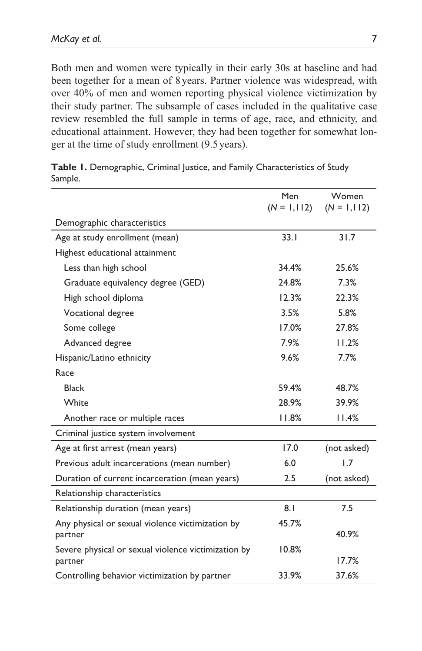Both men and women were typically in their early 30s at baseline and had been together for a mean of 8years. Partner violence was widespread, with over 40% of men and women reporting physical violence victimization by their study partner. The subsample of cases included in the qualitative case review resembled the full sample in terms of age, race, and ethnicity, and educational attainment. However, they had been together for somewhat longer at the time of study enrollment (9.5years).

|                                                                | Men<br>$(N = 1, 112)$ | Women<br>$(N = 1, 112)$ |
|----------------------------------------------------------------|-----------------------|-------------------------|
| Demographic characteristics                                    |                       |                         |
| Age at study enrollment (mean)                                 | 33.1                  | 31.7                    |
| Highest educational attainment                                 |                       |                         |
| Less than high school                                          | 34.4%                 | 25.6%                   |
| Graduate equivalency degree (GED)                              | 24.8%                 | 7.3%                    |
| High school diploma                                            | 12.3%                 | 22.3%                   |
| Vocational degree                                              | 3.5%                  | 5.8%                    |
| Some college                                                   | 17.0%                 | 27.8%                   |
| Advanced degree                                                | 7.9%                  | 11.2%                   |
| Hispanic/Latino ethnicity                                      | 9.6%                  | 7.7%                    |
| Race                                                           |                       |                         |
| <b>Black</b>                                                   | 59.4%                 | 48.7%                   |
| White                                                          | 28.9%                 | 39.9%                   |
| Another race or multiple races                                 | 11.8%                 | 11.4%                   |
| Criminal justice system involvement                            |                       |                         |
| Age at first arrest (mean years)                               | 17.0                  | (not asked)             |
| Previous adult incarcerations (mean number)                    | 6.0                   | 1.7                     |
| Duration of current incarceration (mean years)                 | 2.5                   | (not asked)             |
| Relationship characteristics                                   |                       |                         |
| Relationship duration (mean years)                             | 8.1                   | 7.5                     |
| Any physical or sexual violence victimization by<br>partner    | 45.7%                 | 40.9%                   |
| Severe physical or sexual violence victimization by<br>partner | 10.8%                 | 17.7%                   |

Controlling behavior victimization by partner 33.9% 37.6%

**Table 1.** Demographic, Criminal Justice, and Family Characteristics of Study Sample.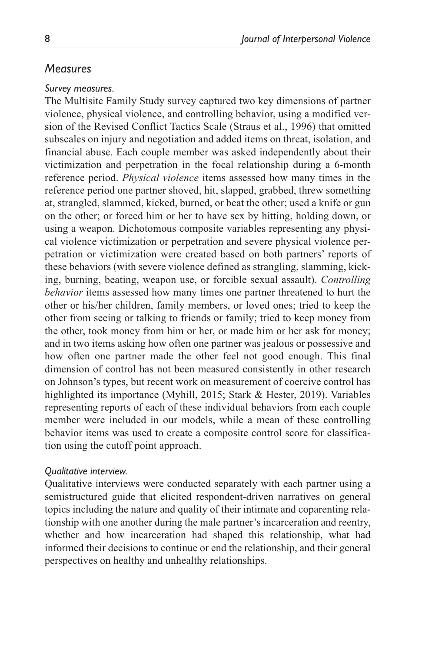### *Measures*

#### *Survey measures.*

The Multisite Family Study survey captured two key dimensions of partner violence, physical violence, and controlling behavior, using a modified version of the Revised Conflict Tactics Scale (Straus et al., 1996) that omitted subscales on injury and negotiation and added items on threat, isolation, and financial abuse. Each couple member was asked independently about their victimization and perpetration in the focal relationship during a 6-month reference period. *Physical violence* items assessed how many times in the reference period one partner shoved, hit, slapped, grabbed, threw something at, strangled, slammed, kicked, burned, or beat the other; used a knife or gun on the other; or forced him or her to have sex by hitting, holding down, or using a weapon. Dichotomous composite variables representing any physical violence victimization or perpetration and severe physical violence perpetration or victimization were created based on both partners' reports of these behaviors (with severe violence defined as strangling, slamming, kicking, burning, beating, weapon use, or forcible sexual assault). *Controlling behavior* items assessed how many times one partner threatened to hurt the other or his/her children, family members, or loved ones; tried to keep the other from seeing or talking to friends or family; tried to keep money from the other, took money from him or her, or made him or her ask for money; and in two items asking how often one partner was jealous or possessive and how often one partner made the other feel not good enough. This final dimension of control has not been measured consistently in other research on Johnson's types, but recent work on measurement of coercive control has highlighted its importance (Myhill, 2015; Stark & Hester, 2019). Variables representing reports of each of these individual behaviors from each couple member were included in our models, while a mean of these controlling behavior items was used to create a composite control score for classification using the cutoff point approach.

#### *Qualitative interview.*

Qualitative interviews were conducted separately with each partner using a semistructured guide that elicited respondent-driven narratives on general topics including the nature and quality of their intimate and coparenting relationship with one another during the male partner's incarceration and reentry, whether and how incarceration had shaped this relationship, what had informed their decisions to continue or end the relationship, and their general perspectives on healthy and unhealthy relationships.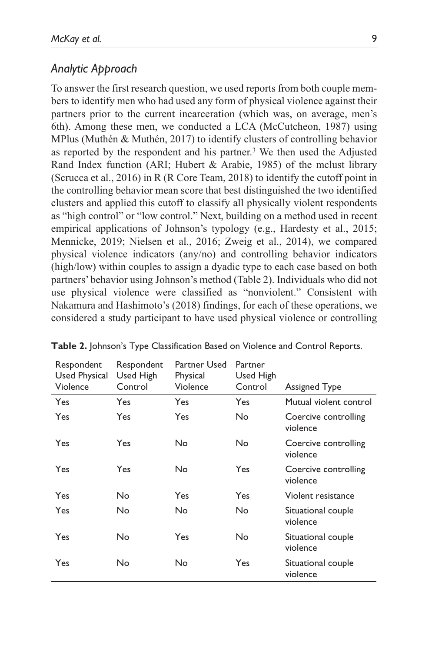#### *Analytic Approach*

To answer the first research question, we used reports from both couple members to identify men who had used any form of physical violence against their partners prior to the current incarceration (which was, on average, men's 6th). Among these men, we conducted a LCA (McCutcheon, 1987) using MPlus (Muthén & Muthén, 2017) to identify clusters of controlling behavior as reported by the respondent and his partner.3 We then used the Adjusted Rand Index function (ARI; Hubert & Arabie, 1985) of the mclust library (Scrucca et al., 2016) in R (R Core Team, 2018) to identify the cutoff point in the controlling behavior mean score that best distinguished the two identified clusters and applied this cutoff to classify all physically violent respondents as "high control" or "low control." Next, building on a method used in recent empirical applications of Johnson's typology (e.g., Hardesty et al., 2015; Mennicke, 2019; Nielsen et al., 2016; Zweig et al., 2014), we compared physical violence indicators (any/no) and controlling behavior indicators (high/low) within couples to assign a dyadic type to each case based on both partners' behavior using Johnson's method (Table 2). Individuals who did not use physical violence were classified as "nonviolent." Consistent with Nakamura and Hashimoto's (2018) findings, for each of these operations, we considered a study participant to have used physical violence or controlling

| Respondent<br>Used Physical<br>Violence | Respondent<br>Used High<br>Control | Partner Used<br>Physical<br>Violence | Partner<br>Used High<br>Control | <b>Assigned Type</b>             |
|-----------------------------------------|------------------------------------|--------------------------------------|---------------------------------|----------------------------------|
| Yes                                     | Yes                                | <b>Yes</b>                           | <b>Yes</b>                      | Mutual violent control           |
| Yes                                     | Yes                                | Yes                                  | <b>No</b>                       | Coercive controlling<br>violence |
| Yes                                     | Yes                                | No                                   | No.                             | Coercive controlling<br>violence |
| Yes                                     | Yes                                | No                                   | Yes                             | Coercive controlling<br>violence |
| Yes                                     | No.                                | Yes                                  | Yes                             | Violent resistance               |
| Yes                                     | No.                                | No.                                  | No.                             | Situational couple<br>violence   |
| Yes                                     | <b>No</b>                          | Yes                                  | No                              | Situational couple<br>violence   |
| Yes                                     | No                                 | No                                   | Yes                             | Situational couple<br>violence   |

**Table 2.** Johnson's Type Classification Based on Violence and Control Reports.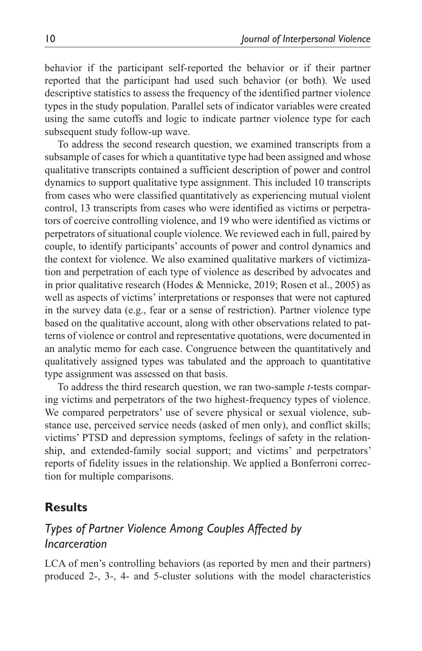behavior if the participant self-reported the behavior or if their partner reported that the participant had used such behavior (or both). We used descriptive statistics to assess the frequency of the identified partner violence types in the study population. Parallel sets of indicator variables were created using the same cutoffs and logic to indicate partner violence type for each subsequent study follow-up wave.

To address the second research question, we examined transcripts from a subsample of cases for which a quantitative type had been assigned and whose qualitative transcripts contained a sufficient description of power and control dynamics to support qualitative type assignment. This included 10 transcripts from cases who were classified quantitatively as experiencing mutual violent control, 13 transcripts from cases who were identified as victims or perpetrators of coercive controlling violence, and 19 who were identified as victims or perpetrators of situational couple violence. We reviewed each in full, paired by couple, to identify participants' accounts of power and control dynamics and the context for violence. We also examined qualitative markers of victimization and perpetration of each type of violence as described by advocates and in prior qualitative research (Hodes & Mennicke, 2019; Rosen et al., 2005) as well as aspects of victims' interpretations or responses that were not captured in the survey data (e.g., fear or a sense of restriction). Partner violence type based on the qualitative account, along with other observations related to patterns of violence or control and representative quotations, were documented in an analytic memo for each case. Congruence between the quantitatively and qualitatively assigned types was tabulated and the approach to quantitative type assignment was assessed on that basis.

To address the third research question, we ran two-sample *t*-tests comparing victims and perpetrators of the two highest-frequency types of violence. We compared perpetrators' use of severe physical or sexual violence, substance use, perceived service needs (asked of men only), and conflict skills; victims' PTSD and depression symptoms, feelings of safety in the relationship, and extended-family social support; and victims' and perpetrators' reports of fidelity issues in the relationship. We applied a Bonferroni correction for multiple comparisons.

### **Results**

## *Types of Partner Violence Among Couples Affected by Incarceration*

LCA of men's controlling behaviors (as reported by men and their partners) produced 2-, 3-, 4- and 5-cluster solutions with the model characteristics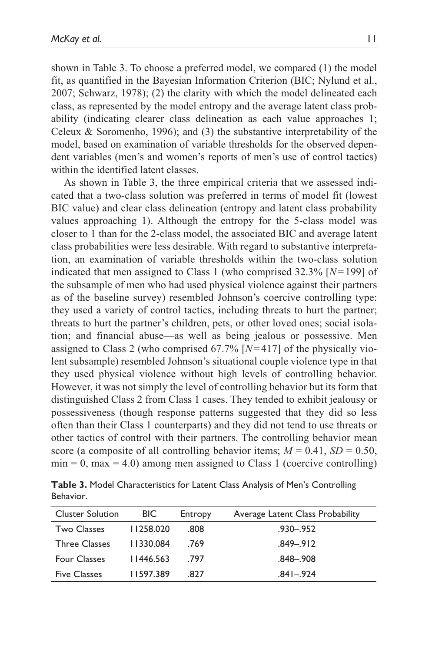shown in Table 3. To choose a preferred model, we compared (1) the model fit, as quantified in the Bayesian Information Criterion (BIC; Nylund et al., 2007; Schwarz, 1978); (2) the clarity with which the model delineated each class, as represented by the model entropy and the average latent class probability (indicating clearer class delineation as each value approaches 1; Celeux & Soromenho, 1996); and (3) the substantive interpretability of the model, based on examination of variable thresholds for the observed dependent variables (men's and women's reports of men's use of control tactics) within the identified latent classes.

As shown in Table 3, the three empirical criteria that we assessed indicated that a two-class solution was preferred in terms of model fit (lowest BIC value) and clear class delineation (entropy and latent class probability values approaching 1). Although the entropy for the 5-class model was closer to 1 than for the 2-class model, the associated BIC and average latent class probabilities were less desirable. With regard to substantive interpretation, an examination of variable thresholds within the two-class solution indicated that men assigned to Class 1 (who comprised 32.3% [*N*=199] of the subsample of men who had used physical violence against their partners as of the baseline survey) resembled Johnson's coercive controlling type: they used a variety of control tactics, including threats to hurt the partner; threats to hurt the partner's children, pets, or other loved ones; social isolation; and financial abuse—as well as being jealous or possessive. Men assigned to Class 2 (who comprised 67.7% [*N*=417] of the physically violent subsample) resembled Johnson's situational couple violence type in that they used physical violence without high levels of controlling behavior. However, it was not simply the level of controlling behavior but its form that distinguished Class 2 from Class 1 cases. They tended to exhibit jealousy or possessiveness (though response patterns suggested that they did so less often than their Class 1 counterparts) and they did not tend to use threats or other tactics of control with their partners. The controlling behavior mean score (a composite of all controlling behavior items;  $M = 0.41$ ,  $SD = 0.50$ ,  $min = 0$ ,  $max = 4.0$ ) among men assigned to Class 1 (coercive controlling)

| <b>Cluster Solution</b> | BIC.      | Entropy | Average Latent Class Probability |
|-------------------------|-----------|---------|----------------------------------|
| <b>Two Classes</b>      | 11258.020 | .808    | $.930 - .952$                    |
| <b>Three Classes</b>    | 11330.084 | .769    | $.849 - .912$                    |
| <b>Four Classes</b>     | 11446.563 | -797    | .848-.908                        |
| <b>Five Classes</b>     | 11597.389 | 827     | $.841 - .924$                    |

**Table 3.** Model Characteristics for Latent Class Analysis of Men's Controlling Behavior.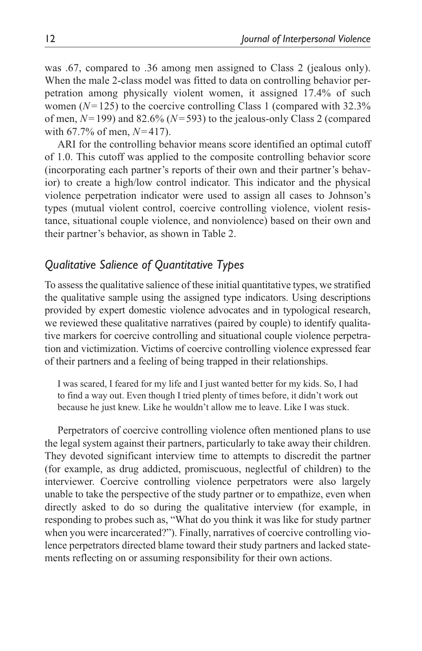was .67, compared to .36 among men assigned to Class 2 (jealous only). When the male 2-class model was fitted to data on controlling behavior perpetration among physically violent women, it assigned 17.4% of such women  $(N=125)$  to the coercive controlling Class 1 (compared with 32.3%) of men, *N*=199) and 82.6% (*N*=593) to the jealous-only Class 2 (compared with 67.7% of men, *N*=417).

ARI for the controlling behavior means score identified an optimal cutoff of 1.0. This cutoff was applied to the composite controlling behavior score (incorporating each partner's reports of their own and their partner's behavior) to create a high/low control indicator. This indicator and the physical violence perpetration indicator were used to assign all cases to Johnson's types (mutual violent control, coercive controlling violence, violent resistance, situational couple violence, and nonviolence) based on their own and their partner's behavior, as shown in Table 2.

## *Qualitative Salience of Quantitative Types*

To assess the qualitative salience of these initial quantitative types, we stratified the qualitative sample using the assigned type indicators. Using descriptions provided by expert domestic violence advocates and in typological research, we reviewed these qualitative narratives (paired by couple) to identify qualitative markers for coercive controlling and situational couple violence perpetration and victimization. Victims of coercive controlling violence expressed fear of their partners and a feeling of being trapped in their relationships.

I was scared, I feared for my life and I just wanted better for my kids. So, I had to find a way out. Even though I tried plenty of times before, it didn't work out because he just knew. Like he wouldn't allow me to leave. Like I was stuck.

Perpetrators of coercive controlling violence often mentioned plans to use the legal system against their partners, particularly to take away their children. They devoted significant interview time to attempts to discredit the partner (for example, as drug addicted, promiscuous, neglectful of children) to the interviewer. Coercive controlling violence perpetrators were also largely unable to take the perspective of the study partner or to empathize, even when directly asked to do so during the qualitative interview (for example, in responding to probes such as, "What do you think it was like for study partner when you were incarcerated?"). Finally, narratives of coercive controlling violence perpetrators directed blame toward their study partners and lacked statements reflecting on or assuming responsibility for their own actions.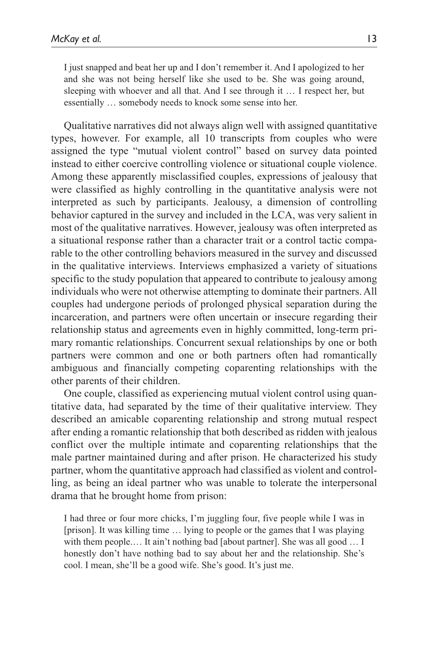I just snapped and beat her up and I don't remember it. And I apologized to her and she was not being herself like she used to be. She was going around, sleeping with whoever and all that. And I see through it … I respect her, but essentially … somebody needs to knock some sense into her.

Qualitative narratives did not always align well with assigned quantitative types, however. For example, all 10 transcripts from couples who were assigned the type "mutual violent control" based on survey data pointed instead to either coercive controlling violence or situational couple violence. Among these apparently misclassified couples, expressions of jealousy that were classified as highly controlling in the quantitative analysis were not interpreted as such by participants. Jealousy, a dimension of controlling behavior captured in the survey and included in the LCA, was very salient in most of the qualitative narratives. However, jealousy was often interpreted as a situational response rather than a character trait or a control tactic comparable to the other controlling behaviors measured in the survey and discussed in the qualitative interviews. Interviews emphasized a variety of situations specific to the study population that appeared to contribute to jealousy among individuals who were not otherwise attempting to dominate their partners. All couples had undergone periods of prolonged physical separation during the incarceration, and partners were often uncertain or insecure regarding their relationship status and agreements even in highly committed, long-term primary romantic relationships. Concurrent sexual relationships by one or both partners were common and one or both partners often had romantically ambiguous and financially competing coparenting relationships with the other parents of their children.

One couple, classified as experiencing mutual violent control using quantitative data, had separated by the time of their qualitative interview. They described an amicable coparenting relationship and strong mutual respect after ending a romantic relationship that both described as ridden with jealous conflict over the multiple intimate and coparenting relationships that the male partner maintained during and after prison. He characterized his study partner, whom the quantitative approach had classified as violent and controlling, as being an ideal partner who was unable to tolerate the interpersonal drama that he brought home from prison:

I had three or four more chicks, I'm juggling four, five people while I was in [prison]. It was killing time … lying to people or the games that I was playing with them people.... It ain't nothing bad [about partner]. She was all good ... I honestly don't have nothing bad to say about her and the relationship. She's cool. I mean, she'll be a good wife. She's good. It's just me.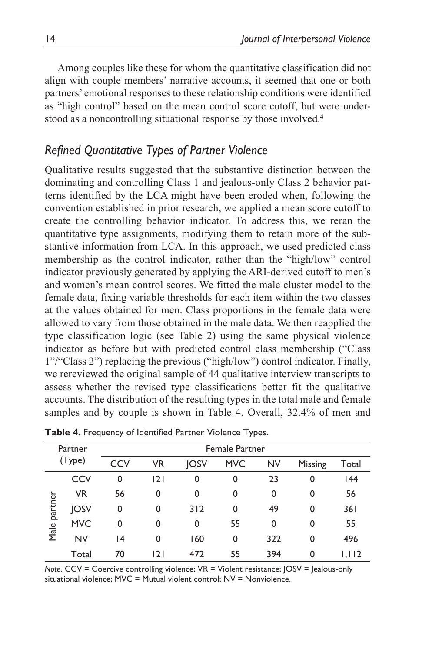Among couples like these for whom the quantitative classification did not align with couple members' narrative accounts, it seemed that one or both partners' emotional responses to these relationship conditions were identified as "high control" based on the mean control score cutoff, but were understood as a noncontrolling situational response by those involved.4

### *Refined Quantitative Types of Partner Violence*

Qualitative results suggested that the substantive distinction between the dominating and controlling Class 1 and jealous-only Class 2 behavior patterns identified by the LCA might have been eroded when, following the convention established in prior research, we applied a mean score cutoff to create the controlling behavior indicator. To address this, we reran the quantitative type assignments, modifying them to retain more of the substantive information from LCA. In this approach, we used predicted class membership as the control indicator, rather than the "high/low" control indicator previously generated by applying the ARI-derived cutoff to men's and women's mean control scores. We fitted the male cluster model to the female data, fixing variable thresholds for each item within the two classes at the values obtained for men. Class proportions in the female data were allowed to vary from those obtained in the male data. We then reapplied the type classification logic (see Table 2) using the same physical violence indicator as before but with predicted control class membership ("Class 1"/"Class 2") replacing the previous ("high/low") control indicator. Finally, we rereviewed the original sample of 44 qualitative interview transcripts to assess whether the revised type classifications better fit the qualitative accounts. The distribution of the resulting types in the total male and female samples and by couple is shown in Table 4. Overall, 32.4% of men and

|              | Partner     |            |           |             | Female Partner |           |         |       |
|--------------|-------------|------------|-----------|-------------|----------------|-----------|---------|-------|
|              | (Type)      | <b>CCV</b> | <b>VR</b> | <b>IOSV</b> | <b>MVC</b>     | <b>NV</b> | Missing | Total |
|              | <b>CCV</b>  | 0          | 2         | 0           | 0              | 23        | 0       | 44    |
|              | VR          | 56         | 0         | 0           | 0              | 0         | 0       | 56    |
|              | <b>IOSV</b> | 0          | 0         | 312         | 0              | 49        | 0       | 361   |
| Male partner | <b>MVC</b>  | 0          | 0         | 0           | 55             | 0         | 0       | 55    |
|              | <b>NV</b>   | 14         | 0         | 160         | 0              | 322       | 0       | 496   |
|              | Total       | 70         | 121       | 472         | 55             | 394       | 0       | 1.112 |

**Table 4.** Frequency of Identified Partner Violence Types.

*Note*. CCV = Coercive controlling violence; VR = Violent resistance; JOSV = Jealous-only situational violence; MVC = Mutual violent control; NV = Nonviolence.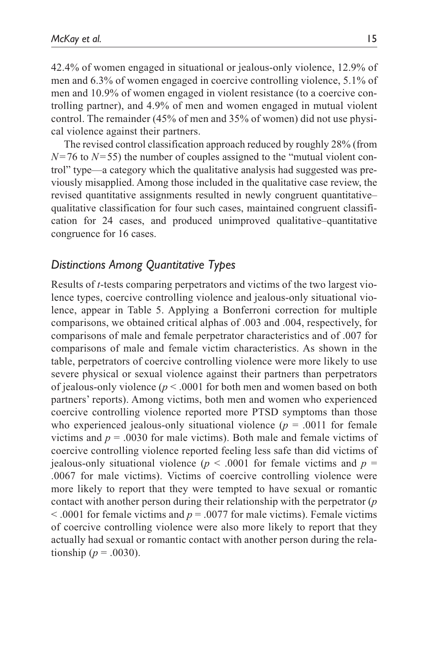42.4% of women engaged in situational or jealous-only violence, 12.9% of men and 6.3% of women engaged in coercive controlling violence, 5.1% of men and 10.9% of women engaged in violent resistance (to a coercive controlling partner), and 4.9% of men and women engaged in mutual violent control. The remainder (45% of men and 35% of women) did not use physical violence against their partners.

The revised control classification approach reduced by roughly 28% (from *N*=76 to *N*=55) the number of couples assigned to the "mutual violent control" type—a category which the qualitative analysis had suggested was previously misapplied. Among those included in the qualitative case review, the revised quantitative assignments resulted in newly congruent quantitative– qualitative classification for four such cases, maintained congruent classification for 24 cases, and produced unimproved qualitative–quantitative congruence for 16 cases.

#### *Distinctions Among Quantitative Types*

Results of *t*-tests comparing perpetrators and victims of the two largest violence types, coercive controlling violence and jealous-only situational violence, appear in Table 5. Applying a Bonferroni correction for multiple comparisons, we obtained critical alphas of .003 and .004, respectively, for comparisons of male and female perpetrator characteristics and of .007 for comparisons of male and female victim characteristics. As shown in the table, perpetrators of coercive controlling violence were more likely to use severe physical or sexual violence against their partners than perpetrators of jealous-only violence  $(p < .0001$  for both men and women based on both partners' reports). Among victims, both men and women who experienced coercive controlling violence reported more PTSD symptoms than those who experienced jealous-only situational violence  $(p = .0011)$  for female victims and  $p = .0030$  for male victims). Both male and female victims of coercive controlling violence reported feeling less safe than did victims of jealous-only situational violence ( $p < .0001$  for female victims and  $p =$ .0067 for male victims). Victims of coercive controlling violence were more likely to report that they were tempted to have sexual or romantic contact with another person during their relationship with the perpetrator (*p*  $\leq$  0001 for female victims and  $p = 0.0077$  for male victims). Female victims of coercive controlling violence were also more likely to report that they actually had sexual or romantic contact with another person during the relationship ( $p = .0030$ ).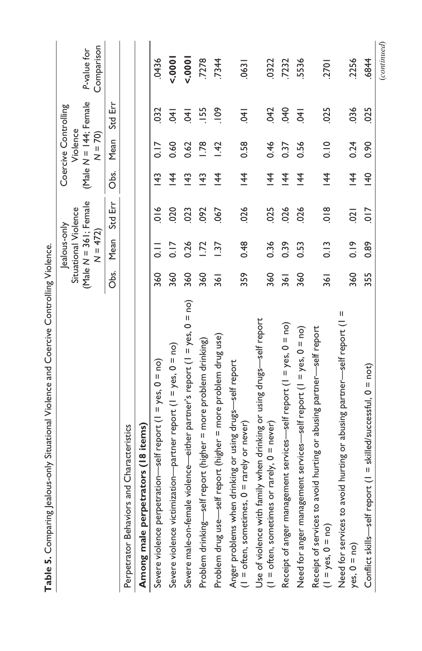| Table 5. Comparing Jealous-only Situational Violence and Coercive Controlling Violence.                                 |      | Jealous-only         |                         |                | Coercive Controlling |                          |             |
|-------------------------------------------------------------------------------------------------------------------------|------|----------------------|-------------------------|----------------|----------------------|--------------------------|-------------|
|                                                                                                                         |      | Situational Violence | $(Male N = 361; Female$ |                | Violence             | (Male $N = 144$ ; Female | P-value for |
|                                                                                                                         |      | $N = 472$            |                         |                | $N = 70$             |                          | Comparison  |
|                                                                                                                         | Obs. | Mean                 | Std Err                 | Obs.           | Mean                 | Std Err                  |             |
| Perpetrator Behaviors and Characteristics                                                                               |      |                      |                         |                |                      |                          |             |
| Among male perpetrators (18 items)                                                                                      |      |                      |                         |                |                      |                          |             |
| Severe violence perpetration-self report (1 = yes, 0 = no)                                                              | 360  | $\bar{10}$           | $rac{6}{10}$            | $\frac{4}{3}$  | 0.17                 | 032                      | 0436        |
| Severe violence victimization-partner report ( $1 = yes$ , $0 = no$ )                                                   | 360  | $\frac{2}{10}$       | 020                     | $rac{4}{4}$    | 0.60                 | $\overline{5}$           | 50001       |
| Severe male-on-female violence—either partner's report (1 = yes, 0 = no)                                                | 360  | 0.26                 | 023                     | $\frac{4}{3}$  | 0.62                 | $\overline{5}$           | 50001       |
| Problem drinking—self report (higher = more problem drinking)                                                           | 360  | 1.72                 | 092                     | $\frac{43}{5}$ | 1.78                 | .155                     | .7278       |
| Problem drug use—self report (higher = more problem drug use)                                                           | 361  | 1.37                 | .067                    | $\overline{4}$ | 1.42                 | $\frac{1}{2}$            | .7344       |
| Anger problems when drinking or using drugs—self report<br>$(1 =$ often, sometimes, $0 =$ rarely or never)              | 359  | 0.48                 | 026                     | $\overline{4}$ | 0.58                 | $\overline{5}$           | .0631       |
| Use of violence with family when drinking or using drugs—self report<br>$(1 =$ often, sometimes or rarely, $0 =$ never) | 360  | 0.36                 | 025                     | $\overline{4}$ | 0.46                 | 042                      | .0322       |
| Receipt of anger management services—self report (1 = yes, 0 = no)                                                      | 361  | 0.39                 | .026                    | $\frac{4}{4}$  | 0.37                 | 040                      | 7232        |
| Need for anger management services-self report (1 = yes, 0 = no)                                                        | 360  | 0.53                 | 026                     | $\overline{4}$ | 0.56                 | $\overline{5}$           | 5536        |
| Receipt of services to avoid hurting or abusing partner-self report<br>$(1 = yes, 0 = no)$                              | 361  | 0.13                 | $\frac{8}{2}$           | $\overline{4}$ | 0.10                 | .025                     | .2701       |
| Need for services to avoid hurting or abusing partner-self report (1 =<br>$yes, 0 = no)$                                | 360  | $\frac{9}{10}$       | 021                     | $\frac{4}{4}$  | 0.24                 | 036                      | .2256       |
| Conflict skills-self report (1 = skilled/successful, 0 = not)                                                           | 355  | 0.89                 | $\frac{1}{2}$           | $\frac{40}{5}$ | 0.90                 | 025                      | .6844       |
|                                                                                                                         |      |                      |                         |                |                      |                          | (continued) |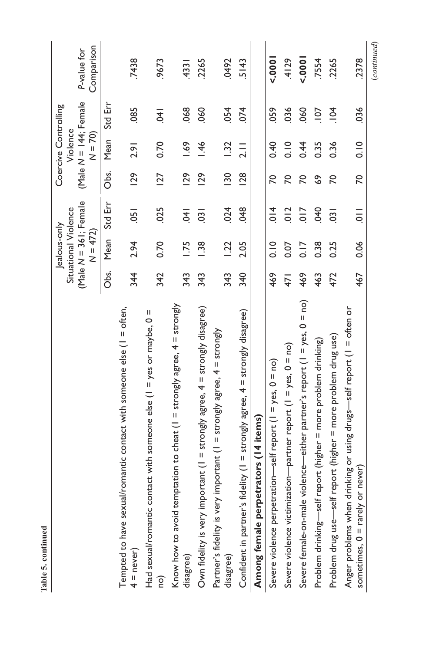|                                                                                                            |      | Situational Violence<br>Jealous-only |                         |                 | Coercive Controlling<br>Violence |                          |                           |
|------------------------------------------------------------------------------------------------------------|------|--------------------------------------|-------------------------|-----------------|----------------------------------|--------------------------|---------------------------|
|                                                                                                            |      | $N = 472$                            | $(Male N = 361; Female$ |                 | $N = 70$                         | (Male $N = 144$ ; Female | Comparison<br>P-value for |
|                                                                                                            | Obs. | Mean                                 | Std Err                 | Obs.            | Mean                             | Std Err                  |                           |
| Tempted to have sexual/romantic contact with someone else $(1 =$ often,<br>$4 = never$                     | 344  | 2.94                                 | $-51$                   | 129             | 2.91                             | .085                     | .7438                     |
| Had sexual/romantic contact with someone else (1 = yes or maybe, 0 =<br>$\widehat{P}$                      | 342  | 0.70                                 | 025                     | <b>127</b>      | 0.70                             | $\overline{5}$           | .9673                     |
| temptation to cheat (1 = strongly agree, $4$ = strongly<br>Know how to avoid<br>disagree)                  | 343  | 1.75                                 | $\overline{4}$          | <b>129</b>      | 1.69                             | .068                     | 4331                      |
| Own fidelity is very important (1 = strongly agree, 4 = strongly disagree)                                 | 343  | <b>1.38</b>                          | $\overline{3}$          | <b>129</b>      | $-1.46$                          | 060                      | .2265                     |
| Partner's fidelity is very important (1 = strongly agree, 4 = strongly<br>disagree)                        | 343  | 1.22                                 | 024                     | $\frac{130}{5}$ | 1.32                             | 054                      | 0492                      |
| Confident in partner's fidelity (1 = strongly agree, 4 = strongly disagree)                                | 340  | 2.05                                 | <b>948</b>              | 128             | $\frac{1}{2i}$                   | 074                      | 5143                      |
| Among female perpetrators (14 items)                                                                       |      |                                      |                         |                 |                                  |                          |                           |
| Severe violence perpetration-self report (1 = yes, 0 = no)                                                 | 469  | $\frac{0}{0}$                        | $rac{4}{10}$            | 20              | 0.40                             | 059                      | 50001                     |
| Severe violence victimization-partner report $(1 = yes, 0 = no)$                                           | 471  | 0.07                                 | .012                    | 20              | 0.10                             | 036                      | .4129                     |
| Severe female-on-male violence—either partner's report (1 = yes, 0 = no)                                   | 469  | 0.17                                 | 017                     | 5               | 0.44                             | .060                     | 50001                     |
| self report (higher = more problem drinking)<br>Problem drinking-                                          | 463  | 0.38                                 | 040                     | \$9             | 0.35                             | 107                      | .7554                     |
| -self report (higher = more problem drug use)<br>Problem drug use-                                         | 472  | 0.25                                 | $\overline{0}$          | 20              | 0.36                             | $\overline{5}$           | .2265                     |
| Anger problems when drinking or using drugs-self report (I = often or<br>sometimes, $0 =$ rarely or never) | 467  | 0.06                                 | $\equiv$                | $\overline{2}$  | 0.10                             | 036                      | .2378                     |
|                                                                                                            |      |                                      |                         |                 |                                  |                          | (continued)               |

**Table 5. continued**

Table 5. continued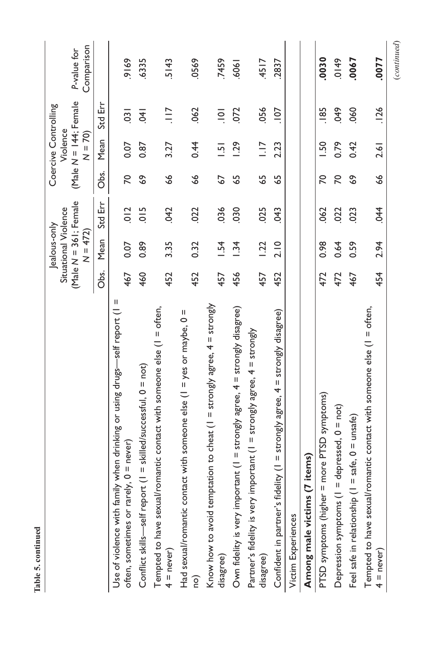| Ξ<br>d |
|--------|
| Ξ      |
| ٦      |
| ≘      |
| ۰      |
| ت      |
| U      |
| ٥      |
|        |
| ≂      |
|        |

|                                                                                                                       |      | Situational Violence<br>ealous-only |                          |      | Coercive Controlling<br>Violence |                          |             |
|-----------------------------------------------------------------------------------------------------------------------|------|-------------------------------------|--------------------------|------|----------------------------------|--------------------------|-------------|
|                                                                                                                       |      |                                     | $(Male N = 361; Female)$ |      |                                  | (Male $N = 144$ ; Female | P-value for |
|                                                                                                                       |      | $N = 472$                           |                          |      | $N = 70$                         |                          | Comparison  |
|                                                                                                                       | Obs. | Mean                                | Std Err                  | Obs. | Mean                             | Std Err                  |             |
| Use of violence with family when drinking or using drugs-self report (1 =<br>often, sometimes or rarely, $0 =$ never) | 467  | 0.07                                | .012                     | 20   | 0.07                             | $\overline{0}$           | 9169        |
| Conflict skills-self report (1 = skilled/successful, 0 = not)                                                         | 460  | 0.89                                | $\frac{1}{2}$            | 69   | 0.87                             | $\overline{5}$           | 6335        |
| Tempted to have sexual/romantic contact with someone else (1 = often,<br>$4 = never$                                  | 452  | 3.35                                | .042                     | 66   | 3.27                             | $\equiv$                 | .5143       |
| Had sexual/romantic contact with someone else ( $1 =$ yes or maybe, $0 =$<br><u>iou</u>                               | 452  | 0.32                                | 022                      | 66   | 0.44                             | .062                     | .0569       |
| Know how to avoid temptation to cheat (1 = strongly agree, 4 = strongly<br>disagree)                                  | 457  | $-54$                               | 036                      | 59   | $\overline{5}$                   | $rac{1}{2}$              | .7459       |
| Own fidelity is very important (1 = strongly agree, $4$ = strongly disagree)                                          | 456  | $\frac{34}{3}$                      | 030                      | 59   | 1.29                             | .072                     | 1909        |
| Partner's fidelity is very important (1 = strongly agree, 4 = strongly<br>disagree)                                   | 457  | 1.22                                | .025                     | 59   | $\frac{1}{2}$                    | .056                     | .4517       |
| Confident in partner's fidelity (1 = strongly agree, 4 = strongly disagree)                                           | 452  | 2.10                                | 3                        | 65   | 2.23                             | $\overline{101}$         | 2837        |
| Victim Experiences                                                                                                    |      |                                     |                          |      |                                  |                          |             |
| Among male victims (7 items)                                                                                          |      |                                     |                          |      |                                  |                          |             |
| PTSD symptoms (higher = more PTSD symptoms)                                                                           | 472  | 0.98                                | .062                     | R    | $-50$                            | 185                      | .0030       |
| Depression symptoms ( $I =$ depressed, $0 =$ not)                                                                     | 472  | 0.64                                | 022                      | R    | 0.79                             | <b>\$PO</b>              | 6110        |
| Feel safe in relationship ( $1 =$ safe, $0 =$ unsafe)                                                                 | 467  | 0.59                                | 023                      | 69   | 0.42                             | .060                     | .0067       |
| Tempted to have sexual/romantic contact with someone else (I = often,<br>$4 = never$                                  | 454  | 2.94                                | 34                       | 66   | 2.61                             | .126                     | <b>LL00</b> |
|                                                                                                                       |      |                                     |                          |      |                                  |                          | (continued) |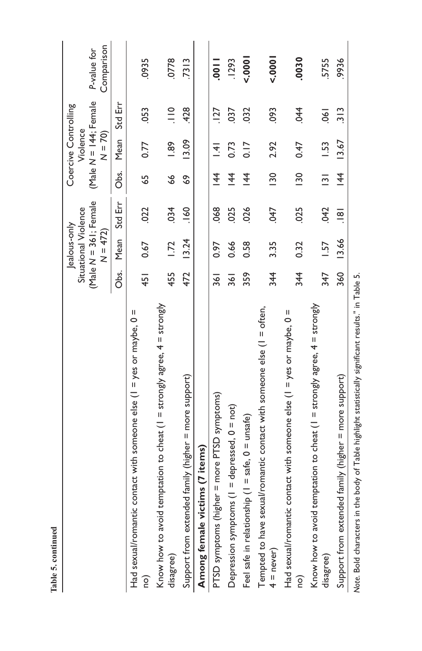|                                                                                                      |      | Situational Violence<br>ealous-only |                          |                | Coercive Controlling<br>Violence     |                  |                           |
|------------------------------------------------------------------------------------------------------|------|-------------------------------------|--------------------------|----------------|--------------------------------------|------------------|---------------------------|
|                                                                                                      |      | $N = 472$                           | (Male $N = 361$ ; Female |                | (Male $N = 144$ ; Female<br>$N = 70$ |                  | Comparison<br>P-value for |
|                                                                                                      | Ōbs. | Mean                                | Std Err                  | Obs.           | Mean                                 | Std Err          |                           |
| Ш<br>Had sexual/romantic contact with someone else (1 = yes or maybe, 0<br>$\widehat{e}$             | 451  | 0.67                                | .022                     | 65             | 0.77                                 | .053             | .0935                     |
| Know how to avoid temptation to cheat (I = strongly agree, 4 = strongly<br>disagree)                 | 455  | 1.72                                | 034                      | 66             | $\frac{89}{5}$                       | $\frac{1}{2}$    | .0778                     |
| Support from extended family (higher = more support)                                                 | 472  | 13.24                               | $-160$                   | 69             | 13.09                                | 428              | .7313                     |
| Among female victims (7 items)                                                                       |      |                                     |                          |                |                                      |                  |                           |
| igher = more PTSD symptoms)<br>PTSD symptoms (h                                                      | 361  | 0.97                                | .068                     | $\frac{4}{4}$  | $\frac{1}{4}$                        | $\overline{127}$ | $\frac{1}{2}$             |
| Depression symptoms (I = depressed, 0 = not)                                                         | 361  | 0.66                                | 025                      | $\frac{4}{4}$  | 0.73                                 | 037              | .1293                     |
| Feel safe in relationship (1 = safe, 0 = unsafe)                                                     | 359  | 0.58                                | 026                      | $\overline{4}$ | 0.17                                 | 032              | $0000 -$                  |
| Tempted to have sexual/romantic contact with someone else (I = often,<br>$4 = never$                 | 344  | 3.35                                | <b>CHO</b>               | $\frac{30}{2}$ | 2.92                                 | 093              | $000, -5$                 |
| Had sexual/romantic contact with someone else (I = yes or maybe, 0 =<br>$\widehat{e}$                | 344  | 0.32                                | 025                      | $\frac{30}{2}$ | 0.47                                 | 64               | .0030                     |
| Know how to avoid temptation to cheat (1 = strongly agree, $4 = \text{strongly}$<br>disagree)        | 347  | 1.57                                | 042                      | $\overline{3}$ | 1.53                                 | $-06$            | 5755                      |
| Support from extended family (higher = more support)                                                 | 360  | 13.66                               | $\frac{18}{1}$           | $\frac{4}{4}$  | 13.67                                | $\frac{313}{2}$  | 9936                      |
| Note. Bold characters in the body of Table highlight statistically significant results." in Table 5. |      |                                     |                          |                |                                      |                  |                           |

**Table 5. continued**

Table 5. continued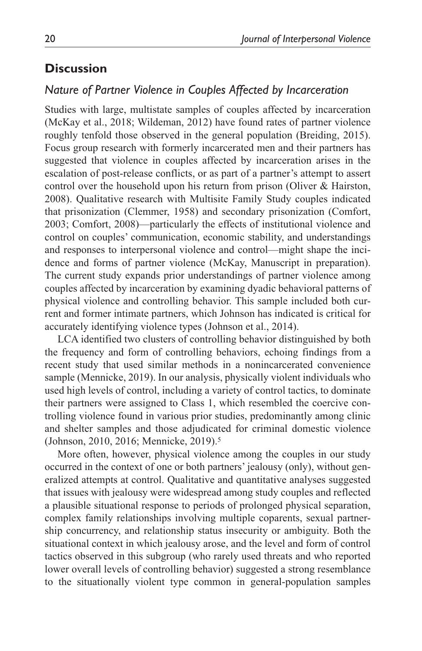# **Discussion**

## *Nature of Partner Violence in Couples Affected by Incarceration*

Studies with large, multistate samples of couples affected by incarceration (McKay et al., 2018; Wildeman, 2012) have found rates of partner violence roughly tenfold those observed in the general population (Breiding, 2015). Focus group research with formerly incarcerated men and their partners has suggested that violence in couples affected by incarceration arises in the escalation of post-release conflicts, or as part of a partner's attempt to assert control over the household upon his return from prison (Oliver & Hairston, 2008). Qualitative research with Multisite Family Study couples indicated that prisonization (Clemmer, 1958) and secondary prisonization (Comfort, 2003; Comfort, 2008)—particularly the effects of institutional violence and control on couples' communication, economic stability, and understandings and responses to interpersonal violence and control—might shape the incidence and forms of partner violence (McKay, Manuscript in preparation). The current study expands prior understandings of partner violence among couples affected by incarceration by examining dyadic behavioral patterns of physical violence and controlling behavior. This sample included both current and former intimate partners, which Johnson has indicated is critical for accurately identifying violence types (Johnson et al., 2014).

LCA identified two clusters of controlling behavior distinguished by both the frequency and form of controlling behaviors, echoing findings from a recent study that used similar methods in a nonincarcerated convenience sample (Mennicke, 2019). In our analysis, physically violent individuals who used high levels of control, including a variety of control tactics, to dominate their partners were assigned to Class 1, which resembled the coercive controlling violence found in various prior studies, predominantly among clinic and shelter samples and those adjudicated for criminal domestic violence (Johnson, 2010, 2016; Mennicke, 2019).5

More often, however, physical violence among the couples in our study occurred in the context of one or both partners' jealousy (only), without generalized attempts at control. Qualitative and quantitative analyses suggested that issues with jealousy were widespread among study couples and reflected a plausible situational response to periods of prolonged physical separation, complex family relationships involving multiple coparents, sexual partnership concurrency, and relationship status insecurity or ambiguity. Both the situational context in which jealousy arose, and the level and form of control tactics observed in this subgroup (who rarely used threats and who reported lower overall levels of controlling behavior) suggested a strong resemblance to the situationally violent type common in general-population samples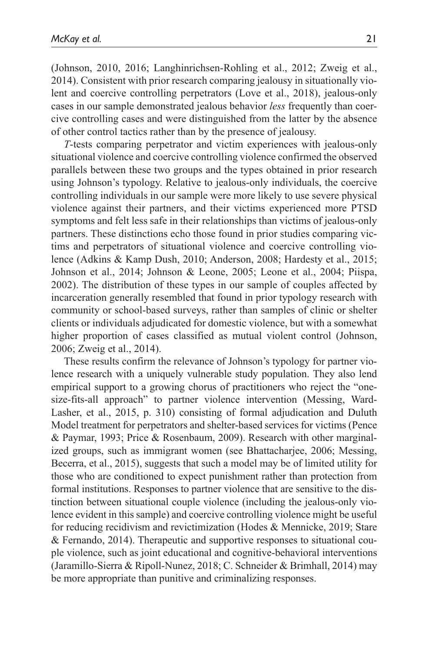(Johnson, 2010, 2016; Langhinrichsen-Rohling et al., 2012; Zweig et al., 2014). Consistent with prior research comparing jealousy in situationally violent and coercive controlling perpetrators (Love et al., 2018), jealous-only cases in our sample demonstrated jealous behavior *less* frequently than coercive controlling cases and were distinguished from the latter by the absence of other control tactics rather than by the presence of jealousy.

*T*-tests comparing perpetrator and victim experiences with jealous-only situational violence and coercive controlling violence confirmed the observed parallels between these two groups and the types obtained in prior research using Johnson's typology. Relative to jealous-only individuals, the coercive controlling individuals in our sample were more likely to use severe physical violence against their partners, and their victims experienced more PTSD symptoms and felt less safe in their relationships than victims of jealous-only partners. These distinctions echo those found in prior studies comparing victims and perpetrators of situational violence and coercive controlling violence (Adkins & Kamp Dush, 2010; Anderson, 2008; Hardesty et al., 2015; Johnson et al., 2014; Johnson & Leone, 2005; Leone et al., 2004; Piispa, 2002). The distribution of these types in our sample of couples affected by incarceration generally resembled that found in prior typology research with community or school-based surveys, rather than samples of clinic or shelter clients or individuals adjudicated for domestic violence, but with a somewhat higher proportion of cases classified as mutual violent control (Johnson, 2006; Zweig et al., 2014).

These results confirm the relevance of Johnson's typology for partner violence research with a uniquely vulnerable study population. They also lend empirical support to a growing chorus of practitioners who reject the "onesize-fits-all approach" to partner violence intervention (Messing, Ward-Lasher, et al., 2015, p. 310) consisting of formal adjudication and Duluth Model treatment for perpetrators and shelter-based services for victims (Pence & Paymar, 1993; Price & Rosenbaum, 2009). Research with other marginalized groups, such as immigrant women (see Bhattacharjee, 2006; Messing, Becerra, et al., 2015), suggests that such a model may be of limited utility for those who are conditioned to expect punishment rather than protection from formal institutions. Responses to partner violence that are sensitive to the distinction between situational couple violence (including the jealous-only violence evident in this sample) and coercive controlling violence might be useful for reducing recidivism and revictimization (Hodes & Mennicke, 2019; Stare & Fernando, 2014). Therapeutic and supportive responses to situational couple violence, such as joint educational and cognitive-behavioral interventions (Jaramillo-Sierra & Ripoll-Nunez, 2018; C. Schneider & Brimhall, 2014) may be more appropriate than punitive and criminalizing responses.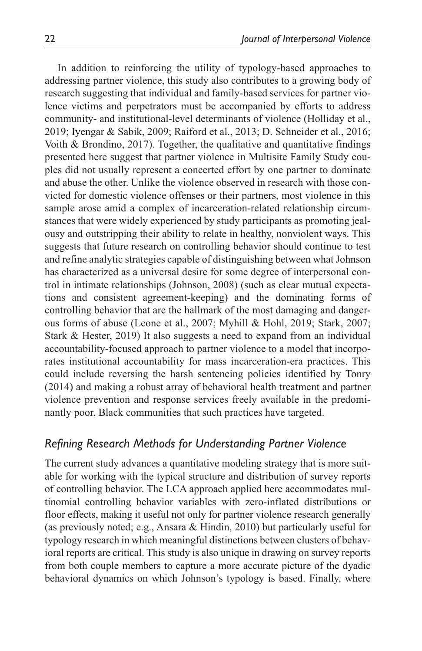In addition to reinforcing the utility of typology-based approaches to addressing partner violence, this study also contributes to a growing body of research suggesting that individual and family-based services for partner violence victims and perpetrators must be accompanied by efforts to address community- and institutional-level determinants of violence (Holliday et al., 2019; Iyengar & Sabik, 2009; Raiford et al., 2013; D. Schneider et al., 2016; Voith & Brondino, 2017). Together, the qualitative and quantitative findings presented here suggest that partner violence in Multisite Family Study couples did not usually represent a concerted effort by one partner to dominate and abuse the other. Unlike the violence observed in research with those convicted for domestic violence offenses or their partners, most violence in this sample arose amid a complex of incarceration-related relationship circumstances that were widely experienced by study participants as promoting jealousy and outstripping their ability to relate in healthy, nonviolent ways. This suggests that future research on controlling behavior should continue to test and refine analytic strategies capable of distinguishing between what Johnson has characterized as a universal desire for some degree of interpersonal control in intimate relationships (Johnson, 2008) (such as clear mutual expectations and consistent agreement-keeping) and the dominating forms of controlling behavior that are the hallmark of the most damaging and dangerous forms of abuse (Leone et al., 2007; Myhill & Hohl, 2019; Stark, 2007; Stark & Hester, 2019) It also suggests a need to expand from an individual accountability-focused approach to partner violence to a model that incorporates institutional accountability for mass incarceration-era practices. This could include reversing the harsh sentencing policies identified by Tonry (2014) and making a robust array of behavioral health treatment and partner violence prevention and response services freely available in the predominantly poor, Black communities that such practices have targeted.

### *Refining Research Methods for Understanding Partner Violence*

The current study advances a quantitative modeling strategy that is more suitable for working with the typical structure and distribution of survey reports of controlling behavior. The LCA approach applied here accommodates multinomial controlling behavior variables with zero-inflated distributions or floor effects, making it useful not only for partner violence research generally (as previously noted; e.g., Ansara & Hindin, 2010) but particularly useful for typology research in which meaningful distinctions between clusters of behavioral reports are critical. This study is also unique in drawing on survey reports from both couple members to capture a more accurate picture of the dyadic behavioral dynamics on which Johnson's typology is based. Finally, where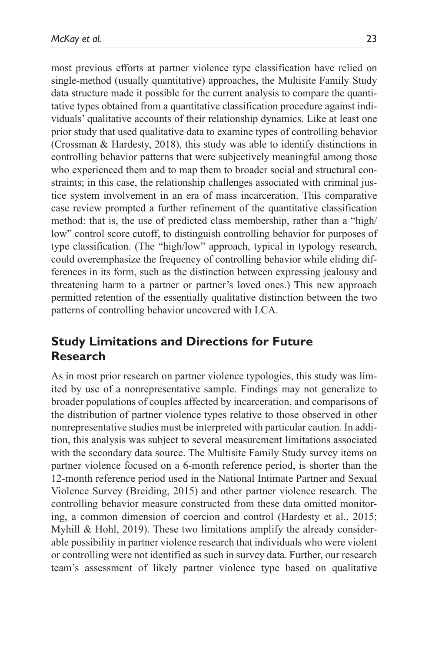most previous efforts at partner violence type classification have relied on single-method (usually quantitative) approaches, the Multisite Family Study data structure made it possible for the current analysis to compare the quantitative types obtained from a quantitative classification procedure against individuals' qualitative accounts of their relationship dynamics. Like at least one prior study that used qualitative data to examine types of controlling behavior (Crossman & Hardesty, 2018), this study was able to identify distinctions in controlling behavior patterns that were subjectively meaningful among those who experienced them and to map them to broader social and structural constraints; in this case, the relationship challenges associated with criminal justice system involvement in an era of mass incarceration. This comparative case review prompted a further refinement of the quantitative classification method: that is, the use of predicted class membership, rather than a "high/ low" control score cutoff, to distinguish controlling behavior for purposes of type classification. (The "high/low" approach, typical in typology research, could overemphasize the frequency of controlling behavior while eliding differences in its form, such as the distinction between expressing jealousy and threatening harm to a partner or partner's loved ones.) This new approach permitted retention of the essentially qualitative distinction between the two patterns of controlling behavior uncovered with LCA.

# **Study Limitations and Directions for Future Research**

As in most prior research on partner violence typologies, this study was limited by use of a nonrepresentative sample. Findings may not generalize to broader populations of couples affected by incarceration, and comparisons of the distribution of partner violence types relative to those observed in other nonrepresentative studies must be interpreted with particular caution. In addition, this analysis was subject to several measurement limitations associated with the secondary data source. The Multisite Family Study survey items on partner violence focused on a 6-month reference period, is shorter than the 12-month reference period used in the National Intimate Partner and Sexual Violence Survey (Breiding, 2015) and other partner violence research. The controlling behavior measure constructed from these data omitted monitoring, a common dimension of coercion and control (Hardesty et al., 2015; Myhill & Hohl, 2019). These two limitations amplify the already considerable possibility in partner violence research that individuals who were violent or controlling were not identified as such in survey data. Further, our research team's assessment of likely partner violence type based on qualitative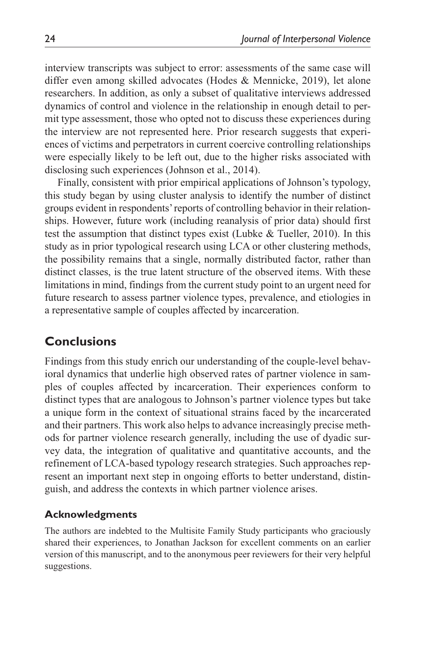interview transcripts was subject to error: assessments of the same case will differ even among skilled advocates (Hodes & Mennicke, 2019), let alone researchers. In addition, as only a subset of qualitative interviews addressed dynamics of control and violence in the relationship in enough detail to permit type assessment, those who opted not to discuss these experiences during the interview are not represented here. Prior research suggests that experiences of victims and perpetrators in current coercive controlling relationships were especially likely to be left out, due to the higher risks associated with disclosing such experiences (Johnson et al., 2014).

Finally, consistent with prior empirical applications of Johnson's typology, this study began by using cluster analysis to identify the number of distinct groups evident in respondents' reports of controlling behavior in their relationships. However, future work (including reanalysis of prior data) should first test the assumption that distinct types exist (Lubke & Tueller, 2010). In this study as in prior typological research using LCA or other clustering methods, the possibility remains that a single, normally distributed factor, rather than distinct classes, is the true latent structure of the observed items. With these limitations in mind, findings from the current study point to an urgent need for future research to assess partner violence types, prevalence, and etiologies in a representative sample of couples affected by incarceration.

# **Conclusions**

Findings from this study enrich our understanding of the couple-level behavioral dynamics that underlie high observed rates of partner violence in samples of couples affected by incarceration. Their experiences conform to distinct types that are analogous to Johnson's partner violence types but take a unique form in the context of situational strains faced by the incarcerated and their partners. This work also helps to advance increasingly precise methods for partner violence research generally, including the use of dyadic survey data, the integration of qualitative and quantitative accounts, and the refinement of LCA-based typology research strategies. Such approaches represent an important next step in ongoing efforts to better understand, distinguish, and address the contexts in which partner violence arises.

### **Acknowledgments**

The authors are indebted to the Multisite Family Study participants who graciously shared their experiences, to Jonathan Jackson for excellent comments on an earlier version of this manuscript, and to the anonymous peer reviewers for their very helpful suggestions.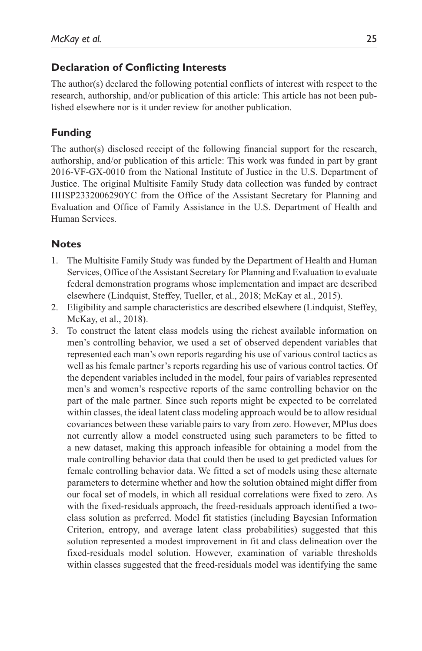#### **Declaration of Conflicting Interests**

The author(s) declared the following potential conflicts of interest with respect to the research, authorship, and/or publication of this article: This article has not been published elsewhere nor is it under review for another publication.

### **Funding**

The author(s) disclosed receipt of the following financial support for the research, authorship, and/or publication of this article: This work was funded in part by grant 2016-VF-GX-0010 from the National Institute of Justice in the U.S. Department of Justice. The original Multisite Family Study data collection was funded by contract HHSP2332006290YC from the Office of the Assistant Secretary for Planning and Evaluation and Office of Family Assistance in the U.S. Department of Health and Human Services.

### **Notes**

- 1. The Multisite Family Study was funded by the Department of Health and Human Services, Office of the Assistant Secretary for Planning and Evaluation to evaluate federal demonstration programs whose implementation and impact are described elsewhere (Lindquist, Steffey, Tueller, et al., 2018; McKay et al., 2015).
- 2. Eligibility and sample characteristics are described elsewhere (Lindquist, Steffey, McKay, et al., 2018).
- 3. To construct the latent class models using the richest available information on men's controlling behavior, we used a set of observed dependent variables that represented each man's own reports regarding his use of various control tactics as well as his female partner's reports regarding his use of various control tactics. Of the dependent variables included in the model, four pairs of variables represented men's and women's respective reports of the same controlling behavior on the part of the male partner. Since such reports might be expected to be correlated within classes, the ideal latent class modeling approach would be to allow residual covariances between these variable pairs to vary from zero. However, MPlus does not currently allow a model constructed using such parameters to be fitted to a new dataset, making this approach infeasible for obtaining a model from the male controlling behavior data that could then be used to get predicted values for female controlling behavior data. We fitted a set of models using these alternate parameters to determine whether and how the solution obtained might differ from our focal set of models, in which all residual correlations were fixed to zero. As with the fixed-residuals approach, the freed-residuals approach identified a twoclass solution as preferred. Model fit statistics (including Bayesian Information Criterion, entropy, and average latent class probabilities) suggested that this solution represented a modest improvement in fit and class delineation over the fixed-residuals model solution. However, examination of variable thresholds within classes suggested that the freed-residuals model was identifying the same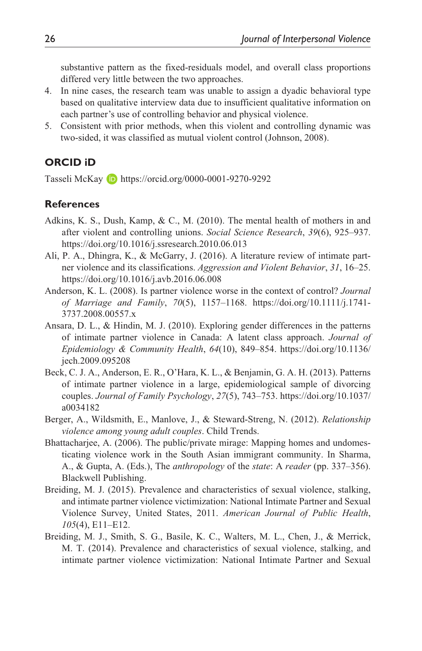substantive pattern as the fixed-residuals model, and overall class proportions differed very little between the two approaches.

- 4. In nine cases, the research team was unable to assign a dyadic behavioral type based on qualitative interview data due to insufficient qualitative information on each partner's use of controlling behavior and physical violence.
- 5. Consistent with prior methods, when this violent and controlling dynamic was two-sided, it was classified as mutual violent control (Johnson, 2008).

### **ORCID iD**

Tasseli McKay **b** https://orcid.org/0000-0001-9270-9292

#### **References**

- Adkins, K. S., Dush, Kamp, & C., M. (2010). The mental health of mothers in and after violent and controlling unions. *Social Science Research*, *39*(6), 925–937. https://doi.org/10.1016/j.ssresearch.2010.06.013
- Ali, P. A., Dhingra, K., & McGarry, J. (2016). A literature review of intimate partner violence and its classifications. *Aggression and Violent Behavior*, *31*, 16–25. https://doi.org/10.1016/j.avb.2016.06.008
- Anderson, K. L. (2008). Is partner violence worse in the context of control? *Journal of Marriage and Family*, *70*(5), 1157–1168. https://doi.org/10.1111/j.1741- 3737.2008.00557.x
- Ansara, D. L., & Hindin, M. J. (2010). Exploring gender differences in the patterns of intimate partner violence in Canada: A latent class approach. *Journal of Epidemiology & Community Health*, *64*(10), 849–854. https://doi.org/10.1136/ jech.2009.095208
- Beck, C. J. A., Anderson, E. R., O'Hara, K. L., & Benjamin, G. A. H. (2013). Patterns of intimate partner violence in a large, epidemiological sample of divorcing couples. *Journal of Family Psychology*, *27*(5), 743–753. https://doi.org/10.1037/ a0034182
- Berger, A., Wildsmith, E., Manlove, J., & Steward-Streng, N. (2012). *Relationship violence among young adult couples*. Child Trends.
- Bhattacharjee, A. (2006). The public/private mirage: Mapping homes and undomesticating violence work in the South Asian immigrant community. In Sharma, A., & Gupta, A. (Eds.), The *anthropology* of the *state*: A *reader* (pp. 337–356). Blackwell Publishing.
- Breiding, M. J. (2015). Prevalence and characteristics of sexual violence, stalking, and intimate partner violence victimization: National Intimate Partner and Sexual Violence Survey, United States, 2011. *American Journal of Public Health*, *105*(4), E11–E12.
- Breiding, M. J., Smith, S. G., Basile, K. C., Walters, M. L., Chen, J., & Merrick, M. T. (2014). Prevalence and characteristics of sexual violence, stalking, and intimate partner violence victimization: National Intimate Partner and Sexual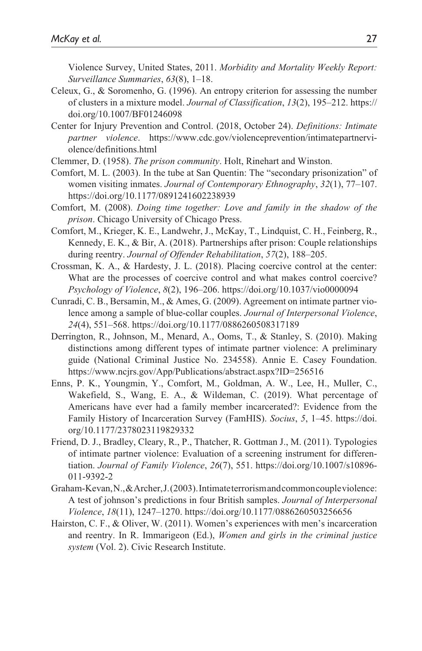Violence Survey, United States, 2011. *Morbidity and Mortality Weekly Report: Surveillance Summaries*, *63*(8), 1–18.

- Celeux, G., & Soromenho, G. (1996). An entropy criterion for assessing the number of clusters in a mixture model. *Journal of Classification*, *13*(2), 195–212. https:// doi.org/10.1007/BF01246098
- Center for Injury Prevention and Control. (2018, October 24). *Definitions: Intimate partner violence*. https://www.cdc.gov/violenceprevention/intimatepartnerviolence/definitions.html
- Clemmer, D. (1958). *The prison community*. Holt, Rinehart and Winston.
- Comfort, M. L. (2003). In the tube at San Quentin: The "secondary prisonization" of women visiting inmates. *Journal of Contemporary Ethnography*, *32*(1), 77–107. https://doi.org/10.1177/0891241602238939
- Comfort, M. (2008). *Doing time together: Love and family in the shadow of the prison*. Chicago University of Chicago Press.
- Comfort, M., Krieger, K. E., Landwehr, J., McKay, T., Lindquist, C. H., Feinberg, R., Kennedy, E. K., & Bir, A. (2018). Partnerships after prison: Couple relationships during reentry. *Journal of Offender Rehabilitation*, *57*(2), 188–205.
- Crossman, K. A., & Hardesty, J. L. (2018). Placing coercive control at the center: What are the processes of coercive control and what makes control coercive? *Psychology of Violence*, *8*(2), 196–206. https://doi.org/10.1037/vio0000094
- Cunradi, C. B., Bersamin, M., & Ames, G. (2009). Agreement on intimate partner violence among a sample of blue-collar couples. *Journal of Interpersonal Violence*, *24*(4), 551–568. https://doi.org/10.1177/0886260508317189
- Derrington, R., Johnson, M., Menard, A., Ooms, T., & Stanley, S. (2010). Making distinctions among different types of intimate partner violence: A preliminary guide (National Criminal Justice No. 234558). Annie E. Casey Foundation. https://www.ncjrs.gov/App/Publications/abstract.aspx?ID=256516
- Enns, P. K., Youngmin, Y., Comfort, M., Goldman, A. W., Lee, H., Muller, C., Wakefield, S., Wang, E. A., & Wildeman, C. (2019). What percentage of Americans have ever had a family member incarcerated?: Evidence from the Family History of Incarceration Survey (FamHIS). *Socius*, *5*, 1–45. https://doi. org/10.1177/2378023119829332
- Friend, D. J., Bradley, Cleary, R., P., Thatcher, R. Gottman J., M. (2011). Typologies of intimate partner violence: Evaluation of a screening instrument for differentiation. *Journal of Family Violence*, *26*(7), 551. https://doi.org/10.1007/s10896- 011-9392-2
- Graham-Kevan, N., & Archer, J. (2003). Intimate terrorism and common couple violence: A test of johnson's predictions in four British samples. *Journal of Interpersonal Violence*, *18*(11), 1247–1270. https://doi.org/10.1177/0886260503256656
- Hairston, C. F., & Oliver, W. (2011). Women's experiences with men's incarceration and reentry. In R. Immarigeon (Ed.), *Women and girls in the criminal justice system* (Vol. 2). Civic Research Institute.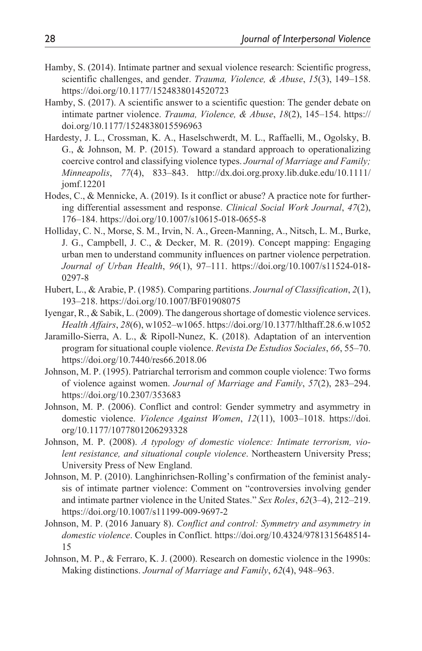- Hamby, S. (2014). Intimate partner and sexual violence research: Scientific progress, scientific challenges, and gender. *Trauma, Violence, & Abuse*, *15*(3), 149–158. https://doi.org/10.1177/1524838014520723
- Hamby, S. (2017). A scientific answer to a scientific question: The gender debate on intimate partner violence. *Trauma, Violence, & Abuse*, *18*(2), 145–154. https:// doi.org/10.1177/1524838015596963
- Hardesty, J. L., Crossman, K. A., Haselschwerdt, M. L., Raffaelli, M., Ogolsky, B. G., & Johnson, M. P. (2015). Toward a standard approach to operationalizing coercive control and classifying violence types. *Journal of Marriage and Family; Minneapolis*, *77*(4), 833–843. http://dx.doi.org.proxy.lib.duke.edu/10.1111/ jomf.12201
- Hodes, C., & Mennicke, A. (2019). Is it conflict or abuse? A practice note for furthering differential assessment and response. *Clinical Social Work Journal*, *47*(2), 176–184. https://doi.org/10.1007/s10615-018-0655-8
- Holliday, C. N., Morse, S. M., Irvin, N. A., Green-Manning, A., Nitsch, L. M., Burke, J. G., Campbell, J. C., & Decker, M. R. (2019). Concept mapping: Engaging urban men to understand community influences on partner violence perpetration. *Journal of Urban Health*, *96*(1), 97–111. https://doi.org/10.1007/s11524-018- 0297-8
- Hubert, L., & Arabie, P. (1985). Comparing partitions. *Journal of Classification*, *2*(1), 193–218. https://doi.org/10.1007/BF01908075
- Iyengar, R., & Sabik, L. (2009). The dangerous shortage of domestic violence services. *Health Affairs*, *28*(6), w1052–w1065. https://doi.org/10.1377/hlthaff.28.6.w1052
- Jaramillo-Sierra, A. L., & Ripoll-Nunez, K. (2018). Adaptation of an intervention program for situational couple violence. *Revista De Estudios Sociales*, *66*, 55–70. https://doi.org/10.7440/res66.2018.06
- Johnson, M. P. (1995). Patriarchal terrorism and common couple violence: Two forms of violence against women. *Journal of Marriage and Family*, *57*(2), 283–294. https://doi.org/10.2307/353683
- Johnson, M. P. (2006). Conflict and control: Gender symmetry and asymmetry in domestic violence. *Violence Against Women*, *12*(11), 1003–1018. https://doi. org/10.1177/1077801206293328
- Johnson, M. P. (2008). *A typology of domestic violence: Intimate terrorism, violent resistance, and situational couple violence*. Northeastern University Press; University Press of New England.
- Johnson, M. P. (2010). Langhinrichsen-Rolling's confirmation of the feminist analysis of intimate partner violence: Comment on "controversies involving gender and intimate partner violence in the United States." *Sex Roles*, *62*(3–4), 212–219. https://doi.org/10.1007/s11199-009-9697-2
- Johnson, M. P. (2016 January 8). *Conflict and control: Symmetry and asymmetry in domestic violence*. Couples in Conflict. https://doi.org/10.4324/9781315648514- 15
- Johnson, M. P., & Ferraro, K. J. (2000). Research on domestic violence in the 1990s: Making distinctions. *Journal of Marriage and Family*, *62*(4), 948–963.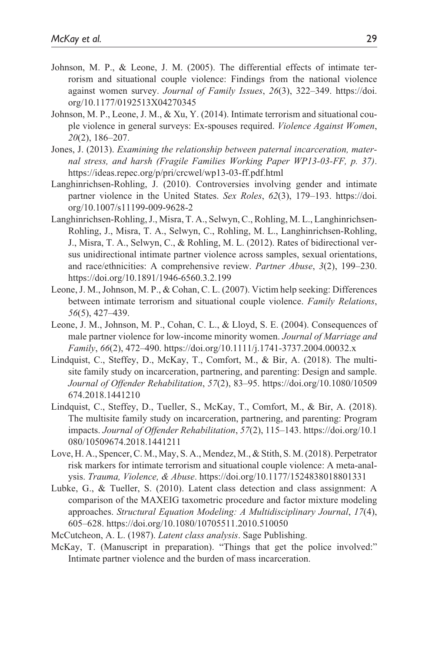- Johnson, M. P., & Leone, J. M. (2005). The differential effects of intimate terrorism and situational couple violence: Findings from the national violence against women survey. *Journal of Family Issues*, *26*(3), 322–349. https://doi. org/10.1177/0192513X04270345
- Johnson, M. P., Leone, J. M., & Xu, Y. (2014). Intimate terrorism and situational couple violence in general surveys: Ex-spouses required. *Violence Against Women*, *20*(2), 186–207.
- Jones, J. (2013). *Examining the relationship between paternal incarceration, maternal stress, and harsh (Fragile Families Working Paper WP13-03-FF, p. 37)*. https://ideas.repec.org/p/pri/crcwel/wp13-03-ff.pdf.html
- Langhinrichsen-Rohling, J. (2010). Controversies involving gender and intimate partner violence in the United States. *Sex Roles*, *62*(3), 179–193. https://doi. org/10.1007/s11199-009-9628-2
- Langhinrichsen-Rohling, J., Misra, T. A., Selwyn, C., Rohling, M. L., Langhinrichsen-Rohling, J., Misra, T. A., Selwyn, C., Rohling, M. L., Langhinrichsen-Rohling, J., Misra, T. A., Selwyn, C., & Rohling, M. L. (2012). Rates of bidirectional versus unidirectional intimate partner violence across samples, sexual orientations, and race/ethnicities: A comprehensive review. *Partner Abuse*, *3*(2), 199–230. https://doi.org/10.1891/1946-6560.3.2.199
- Leone, J. M., Johnson, M. P., & Cohan, C. L. (2007). Victim help seeking: Differences between intimate terrorism and situational couple violence. *Family Relations*, *56*(5), 427–439.
- Leone, J. M., Johnson, M. P., Cohan, C. L., & Lloyd, S. E. (2004). Consequences of male partner violence for low-income minority women. *Journal of Marriage and Family*, *66*(2), 472–490. https://doi.org/10.1111/j.1741-3737.2004.00032.x
- Lindquist, C., Steffey, D., McKay, T., Comfort, M., & Bir, A. (2018). The multisite family study on incarceration, partnering, and parenting: Design and sample. *Journal of Offender Rehabilitation*, *57*(2), 83–95. https://doi.org/10.1080/10509 674.2018.1441210
- Lindquist, C., Steffey, D., Tueller, S., McKay, T., Comfort, M., & Bir, A. (2018). The multisite family study on incarceration, partnering, and parenting: Program impacts. *Journal of Offender Rehabilitation*, *57*(2), 115–143. https://doi.org/10.1 080/10509674.2018.1441211
- Love, H. A., Spencer, C. M., May, S. A., Mendez, M., & Stith, S. M. (2018). Perpetrator risk markers for intimate terrorism and situational couple violence: A meta-analysis. *Trauma, Violence, & Abuse*. https://doi.org/10.1177/1524838018801331
- Lubke, G., & Tueller, S. (2010). Latent class detection and class assignment: A comparison of the MAXEIG taxometric procedure and factor mixture modeling approaches. *Structural Equation Modeling: A Multidisciplinary Journal*, *17*(4), 605–628. https://doi.org/10.1080/10705511.2010.510050
- McCutcheon, A. L. (1987). *Latent class analysis*. Sage Publishing.
- McKay, T. (Manuscript in preparation). "Things that get the police involved:" Intimate partner violence and the burden of mass incarceration.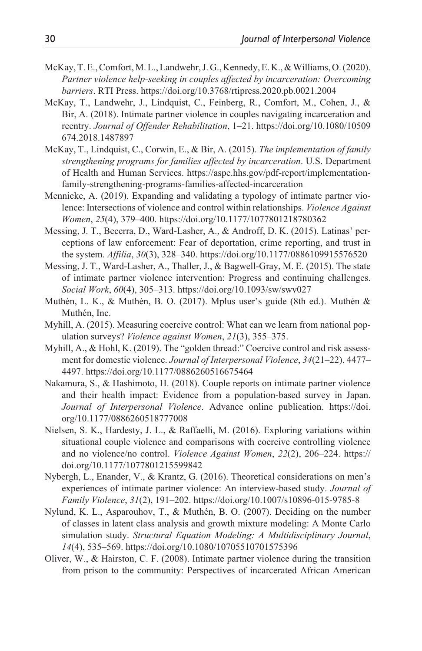- McKay, T. E., Comfort, M. L., Landwehr, J. G., Kennedy, E. K., & Williams, O. (2020). *Partner violence help-seeking in couples affected by incarceration: Overcoming barriers*. RTI Press. https://doi.org/10.3768/rtipress.2020.pb.0021.2004
- McKay, T., Landwehr, J., Lindquist, C., Feinberg, R., Comfort, M., Cohen, J., & Bir, A. (2018). Intimate partner violence in couples navigating incarceration and reentry. *Journal of Offender Rehabilitation*, 1–21. https://doi.org/10.1080/10509 674.2018.1487897
- McKay, T., Lindquist, C., Corwin, E., & Bir, A. (2015). *The implementation of family strengthening programs for families affected by incarceration*. U.S. Department of Health and Human Services. https://aspe.hhs.gov/pdf-report/implementationfamily-strengthening-programs-families-affected-incarceration
- Mennicke, A. (2019). Expanding and validating a typology of intimate partner violence: Intersections of violence and control within relationships. *Violence Against Women*, *25*(4), 379–400. https://doi.org/10.1177/1077801218780362
- Messing, J. T., Becerra, D., Ward-Lasher, A., & Androff, D. K. (2015). Latinas' perceptions of law enforcement: Fear of deportation, crime reporting, and trust in the system. *Affilia*, *30*(3), 328–340. https://doi.org/10.1177/0886109915576520
- Messing, J. T., Ward-Lasher, A., Thaller, J., & Bagwell-Gray, M. E. (2015). The state of intimate partner violence intervention: Progress and continuing challenges. *Social Work*, *60*(4), 305–313. https://doi.org/10.1093/sw/swv027
- Muthén, L. K., & Muthén, B. O. (2017). Mplus user's guide (8th ed.). Muthén & Muthén, Inc.
- Myhill, A. (2015). Measuring coercive control: What can we learn from national population surveys? *Violence against Women*, *21*(3), 355–375.
- Myhill, A., & Hohl, K. (2019). The "golden thread:" Coercive control and risk assessment for domestic violence. *Journal of Interpersonal Violence*, *34*(21–22), 4477– 4497. https://doi.org/10.1177/0886260516675464
- Nakamura, S., & Hashimoto, H. (2018). Couple reports on intimate partner violence and their health impact: Evidence from a population-based survey in Japan. *Journal of Interpersonal Violence*. Advance online publication. https://doi. org/10.1177/0886260518777008
- Nielsen, S. K., Hardesty, J. L., & Raffaelli, M. (2016). Exploring variations within situational couple violence and comparisons with coercive controlling violence and no violence/no control. *Violence Against Women*, *22*(2), 206–224. https:// doi.org/10.1177/1077801215599842
- Nybergh, L., Enander, V., & Krantz, G. (2016). Theoretical considerations on men's experiences of intimate partner violence: An interview-based study. *Journal of Family Violence*, *31*(2), 191–202. https://doi.org/10.1007/s10896-015-9785-8
- Nylund, K. L., Asparouhov, T., & Muthén, B. O. (2007). Deciding on the number of classes in latent class analysis and growth mixture modeling: A Monte Carlo simulation study. *Structural Equation Modeling: A Multidisciplinary Journal*, *14*(4), 535–569. https://doi.org/10.1080/10705510701575396
- Oliver, W., & Hairston, C. F. (2008). Intimate partner violence during the transition from prison to the community: Perspectives of incarcerated African American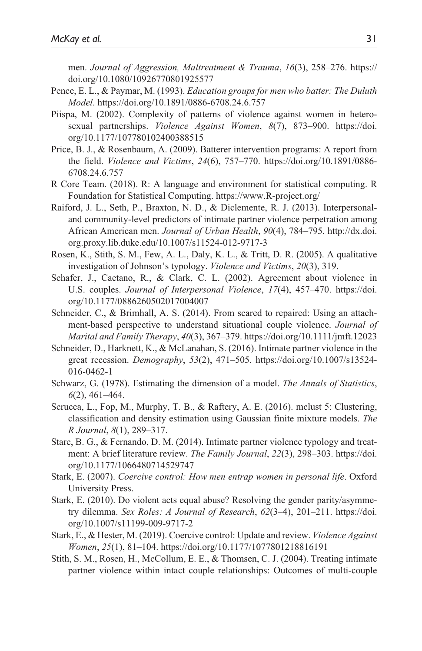men. *Journal of Aggression, Maltreatment & Trauma*, *16*(3), 258–276. https:// doi.org/10.1080/10926770801925577

- Pence, E. L., & Paymar, M. (1993). *Education groups for men who batter: The Duluth Model*. https://doi.org/10.1891/0886-6708.24.6.757
- Piispa, M. (2002). Complexity of patterns of violence against women in heterosexual partnerships. *Violence Against Women*, *8*(7), 873–900. https://doi. org/10.1177/107780102400388515
- Price, B. J., & Rosenbaum, A. (2009). Batterer intervention programs: A report from the field. *Violence and Victims*, *24*(6), 757–770. https://doi.org/10.1891/0886- 6708.24.6.757
- R Core Team. (2018). R: A language and environment for statistical computing. R Foundation for Statistical Computing. https://www.R-project.org/
- Raiford, J. L., Seth, P., Braxton, N. D., & Diclemente, R. J. (2013). Interpersonaland community-level predictors of intimate partner violence perpetration among African American men. *Journal of Urban Health*, *90*(4), 784–795. http://dx.doi. org.proxy.lib.duke.edu/10.1007/s11524-012-9717-3
- Rosen, K., Stith, S. M., Few, A. L., Daly, K. L., & Tritt, D. R. (2005). A qualitative investigation of Johnson's typology. *Violence and Victims*, *20*(3), 319.
- Schafer, J., Caetano, R., & Clark, C. L. (2002). Agreement about violence in U.S. couples. *Journal of Interpersonal Violence*, *17*(4), 457–470. https://doi. org/10.1177/0886260502017004007
- Schneider, C., & Brimhall, A. S. (2014). From scared to repaired: Using an attachment-based perspective to understand situational couple violence. *Journal of Marital and Family Therapy*, *40*(3), 367–379. https://doi.org/10.1111/jmft.12023
- Schneider, D., Harknett, K., & McLanahan, S. (2016). Intimate partner violence in the great recession. *Demography*, *53*(2), 471–505. https://doi.org/10.1007/s13524- 016-0462-1
- Schwarz, G. (1978). Estimating the dimension of a model. *The Annals of Statistics*, *6*(2), 461–464.
- Scrucca, L., Fop, M., Murphy, T. B., & Raftery, A. E. (2016). mclust 5: Clustering, classification and density estimation using Gaussian finite mixture models. *The R Journal*, *8*(1), 289–317.
- Stare, B. G., & Fernando, D. M. (2014). Intimate partner violence typology and treatment: A brief literature review. *The Family Journal*, *22*(3), 298–303. https://doi. org/10.1177/1066480714529747
- Stark, E. (2007). *Coercive control: How men entrap women in personal life*. Oxford University Press.
- Stark, E. (2010). Do violent acts equal abuse? Resolving the gender parity/asymmetry dilemma. *Sex Roles: A Journal of Research*, *62*(3–4), 201–211. https://doi. org/10.1007/s11199-009-9717-2
- Stark, E., & Hester, M. (2019). Coercive control: Update and review. *Violence Against Women*, *25*(1), 81–104. https://doi.org/10.1177/1077801218816191
- Stith, S. M., Rosen, H., McCollum, E. E., & Thomsen, C. J. (2004). Treating intimate partner violence within intact couple relationships: Outcomes of multi-couple